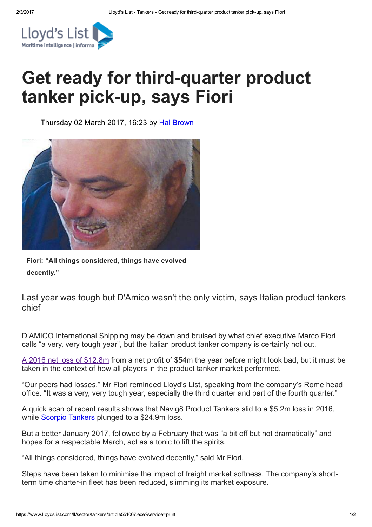

## Get ready for third-quarter product tanker pick-up, says Fiori

Thursday 02 March 2017, 16:23 by Hal [Brown](https://www.lloydslist.com/ll/authors/hal-brown/)



Fiori: "All things considered, things have evolved decently."

Last year was tough but D'Amico wasn't the only victim, says Italian product tankers chief

D'AMICO International Shipping may be down and bruised by what chief executive Marco Fiori calls "a very, very tough year", but the Italian product tanker company is certainly not out.

A 2016 net loss of [\\$12.8m](https://www.lloydslist.com/ll/sector/tankers/article551058.ece) from a net profit of \$54m the year before might look bad, but it must be taken in the context of how all players in the product tanker market performed.

"Our peers had losses," Mr Fiori reminded Lloyd's List, speaking from the company's Rome head office. "It was a very, very tough year, especially the third quarter and part of the fourth quarter."

A quick scan of recent results shows that Navig8 Product Tankers slid to a \$5.2m loss in 2016, while Scorpio [Tankers](https://www.lloydslist.com/ll/sector/tankers/article549428.ece) plunged to a \$24.9m loss.

But a better January 2017, followed by a February that was "a bit off but not dramatically" and hopes for a respectable March, act as a tonic to lift the spirits.

"All things considered, things have evolved decently," said Mr Fiori.

Steps have been taken to minimise the impact of freight market softness. The company's shortterm time charter-in fleet has been reduced, slimming its market exposure.